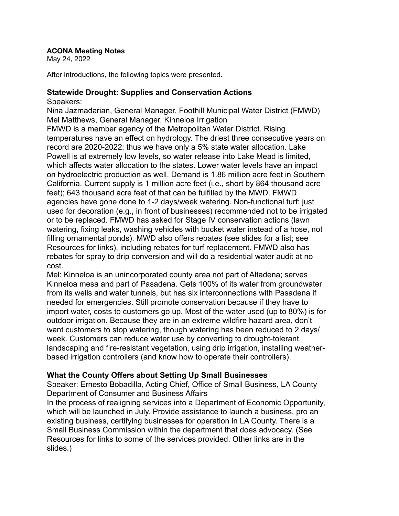## **ACONA Meeting Notes**

May 24, 2022

After introductions, the following topics were presented.

## **Statewide Drought: Supplies and Conservation Actions** Speakers:

Nina Jazmadarian, General Manager, Foothill Municipal Water District (FMWD) Mel Matthews, General Manager, Kinneloa Irrigation FMWD is a member agency of the Metropolitan Water District. Rising temperatures have an effect on hydrology. The driest three consecutive years on record are 2020-2022; thus we have only a 5% state water allocation. Lake Powell is at extremely low levels, so water release into Lake Mead is limited, which affects water allocation to the states. Lower water levels have an impact on hydroelectric production as well. Demand is 1.86 million acre feet in Southern California. Current supply is 1 million acre feet (i.e., short by 864 thousand acre feet); 643 thousand acre feet of that can be fulfilled by the MWD. FMWD agencies have gone done to 1-2 days/week watering. Non-functional turf: just used for decoration (e.g., in front of businesses) recommended not to be irrigated or to be replaced. FMWD has asked for Stage IV conservation actions (lawn watering, fixing leaks, washing vehicles with bucket water instead of a hose, not filling ornamental ponds). MWD also offers rebates (see slides for a list; see Resources for links), including rebates for turf replacement. FMWD also has rebates for spray to drip conversion and will do a residential water audit at no cost.

Mel: Kinneloa is an unincorporated county area not part of Altadena; serves Kinneloa mesa and part of Pasadena. Gets 100% of its water from groundwater from its wells and water tunnels, but has six interconnections with Pasadena if needed for emergencies. Still promote conservation because if they have to import water, costs to customers go up. Most of the water used (up to 80%) is for outdoor irrigation. Because they are in an extreme wildfire hazard area, don't want customers to stop watering, though watering has been reduced to 2 days/ week. Customers can reduce water use by converting to drought-tolerant landscaping and fire-resistant vegetation, using drip irrigation, installing weatherbased irrigation controllers (and know how to operate their controllers).

## **What the County Offers about Setting Up Small Businesses**

Speaker: Ernesto Bobadilla, Acting Chief, Office of Small Business, LA County Department of Consumer and Business Affairs

In the process of realigning services into a Department of Economic Opportunity, which will be launched in July. Provide assistance to launch a business, pro an existing business, certifying businesses for operation in LA County. There is a Small Business Commission within the department that does advocacy. (See Resources for links to some of the services provided. Other links are in the slides.)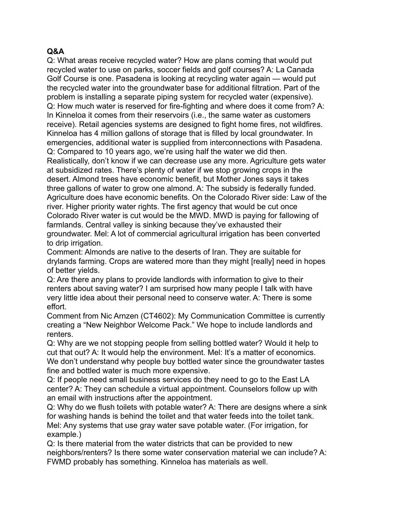## **Q&A**

Q: What areas receive recycled water? How are plans coming that would put recycled water to use on parks, soccer fields and golf courses? A: La Canada Golf Course is one. Pasadena is looking at recycling water again — would put the recycled water into the groundwater base for additional filtration. Part of the problem is installing a separate piping system for recycled water (expensive). Q: How much water is reserved for fire-fighting and where does it come from? A: In Kinneloa it comes from their reservoirs (i.e., the same water as customers receive). Retail agencies systems are designed to fight home fires, not wildfires. Kinneloa has 4 million gallons of storage that is filled by local groundwater. In emergencies, additional water is supplied from interconnections with Pasadena. Q: Compared to 10 years ago, we're using half the water we did then. Realistically, don't know if we can decrease use any more. Agriculture gets water at subsidized rates. There's plenty of water if we stop growing crops in the desert. Almond trees have economic benefit, but Mother Jones says it takes three gallons of water to grow one almond. A: The subsidy is federally funded. Agriculture does have economic benefits. On the Colorado River side: Law of the river. Higher priority water rights. The first agency that would be cut once Colorado River water is cut would be the MWD. MWD is paying for fallowing of farmlands. Central valley is sinking because they've exhausted their groundwater. Mel: A lot of commercial agricultural irrigation has been converted to drip irrigation.

Comment: Almonds are native to the deserts of Iran. They are suitable for drylands farming. Crops are watered more than they might [really] need in hopes of better yields.

Q: Are there any plans to provide landlords with information to give to their renters about saving water? I am surprised how many people I talk with have very little idea about their personal need to conserve water. A: There is some effort.

Comment from Nic Arnzen (CT4602): My Communication Committee is currently creating a "New Neighbor Welcome Pack." We hope to include landlords and renters.

Q: Why are we not stopping people from selling bottled water? Would it help to cut that out? A: It would help the environment. Mel: It's a matter of economics. We don't understand why people buy bottled water since the groundwater tastes fine and bottled water is much more expensive.

Q: If people need small business services do they need to go to the East LA center? A: They can schedule a virtual appointment. Counselors follow up with an email with instructions after the appointment.

Q: Why do we flush toilets with potable water? A: There are designs where a sink for washing hands is behind the toilet and that water feeds into the toilet tank. Mel: Any systems that use gray water save potable water. (For irrigation, for example.)

Q: Is there material from the water districts that can be provided to new neighbors/renters? Is there some water conservation material we can include? A: FWMD probably has something. Kinneloa has materials as well.